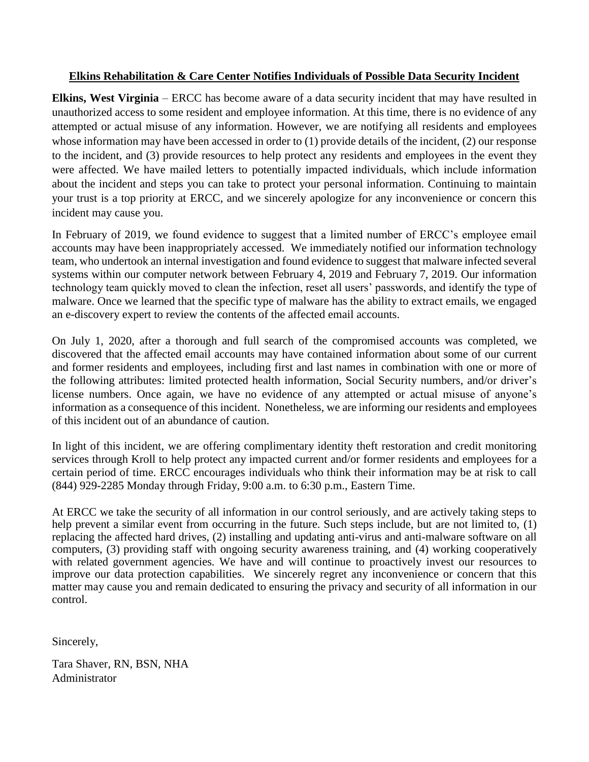## **Elkins Rehabilitation & Care Center Notifies Individuals of Possible Data Security Incident**

**Elkins, West Virginia** – ERCC has become aware of a data security incident that may have resulted in unauthorized access to some resident and employee information. At this time, there is no evidence of any attempted or actual misuse of any information. However, we are notifying all residents and employees whose information may have been accessed in order to (1) provide details of the incident, (2) our response to the incident, and (3) provide resources to help protect any residents and employees in the event they were affected. We have mailed letters to potentially impacted individuals, which include information about the incident and steps you can take to protect your personal information. Continuing to maintain your trust is a top priority at ERCC, and we sincerely apologize for any inconvenience or concern this incident may cause you.

In February of 2019, we found evidence to suggest that a limited number of ERCC's employee email accounts may have been inappropriately accessed. We immediately notified our information technology team, who undertook an internal investigation and found evidence to suggest that malware infected several systems within our computer network between February 4, 2019 and February 7, 2019. Our information technology team quickly moved to clean the infection, reset all users' passwords, and identify the type of malware. Once we learned that the specific type of malware has the ability to extract emails, we engaged an e-discovery expert to review the contents of the affected email accounts.

On July 1, 2020, after a thorough and full search of the compromised accounts was completed, we discovered that the affected email accounts may have contained information about some of our current and former residents and employees, including first and last names in combination with one or more of the following attributes: limited protected health information, Social Security numbers, and/or driver's license numbers. Once again, we have no evidence of any attempted or actual misuse of anyone's information as a consequence of this incident. Nonetheless, we are informing our residents and employees of this incident out of an abundance of caution.

In light of this incident, we are offering complimentary identity theft restoration and credit monitoring services through Kroll to help protect any impacted current and/or former residents and employees for a certain period of time. ERCC encourages individuals who think their information may be at risk to call (844) 929-2285 Monday through Friday, 9:00 a.m. to 6:30 p.m., Eastern Time.

At ERCC we take the security of all information in our control seriously, and are actively taking steps to help prevent a similar event from occurring in the future. Such steps include, but are not limited to, (1) replacing the affected hard drives, (2) installing and updating anti-virus and anti-malware software on all computers, (3) providing staff with ongoing security awareness training, and (4) working cooperatively with related government agencies. We have and will continue to proactively invest our resources to improve our data protection capabilities. We sincerely regret any inconvenience or concern that this matter may cause you and remain dedicated to ensuring the privacy and security of all information in our control.

Sincerely,

Tara Shaver, RN, BSN, NHA Administrator